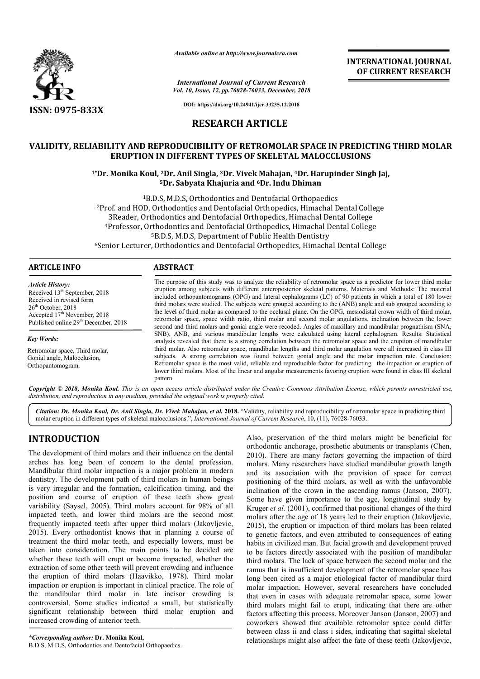

*Available online at http://www.journalcra.com*

**INTERNATIONAL JOURNAL OF CURRENT RESEARCH**

*Vol. 10, Issue, 12, pp.76028-76033, December, 2018 International Journal of Current Research*

**DOI: https://doi.org/10.24941/ijcr.33235.12.2018**

# **RESEARCH ARTICLE**

# **VALIDITY, RELIABILITY AND REPRODUCIBILITY OF RETROMOLAR SPACE IN PREDICTING THIRD MOLAR ERUPTION IN DIFFERENT TYPES OF SKELETAL MALOCCLUSIONS RELIABILITY AND REPRODUCIBILITY OF RETROMOLAR SPACE IN PREDICTING<br>ERUPTION IN DIFFERENT TYPES OF SKELETAL MALOCCLUSIONS<br><sup>1\*</sup>Dr. Monika Koul, <sup>2</sup>Dr. Anil Singla, <sup>3</sup>Dr. Vivek Mahajan, <sup>4</sup>Dr. Harupinder Singh Jaj,**

# **5Dr. Dr. Sabyata Khajuria and 6Dr. Indu Dhiman**

<sup>1</sup>B.D.S, M.D.S, Orthodontics and Dentofacial Orthopaedics <sup>2</sup>Prof. and HOD, Orthodontics and Dentofacial Orthopedics, Himachal Dental College<br>3Reader, Orthodontics and Dentofacial Orthopedics, Himachal Dental College 3Reader, Orthodontics and Dentofacial Orthopedics, Himachal Dental College <sup>4</sup>Professor, Orthodontics and Dentofacial Orthopedics, Himachal Dental College <sup>5</sup>B.D.S, M.D.S, Department of Public Health Dentistry<br><sup>6</sup>Senior Lecturer, Orthodontics and Dentofacial Orthopedics, Himachal Dental College <sup>5</sup>B.D.S, M.D.S, Department of Public Health Dentistry

#### **ARTICLE INFO ABSTRACT**

*Article History:* Received 13<sup>th</sup> September, 2018 Received in revised form 26<sup>th</sup> October, 2018 Accepted 17<sup>th</sup> November, 2018 Published online 29<sup>th</sup> December, 2018

*Key Words:* Retromolar space, Third molar, Gonial angle, Malocclusion, Orthopantomogram.

The purpose of this study was to analyze the reliability of retromolar space as a predictor for lower third molar eruption among subjects with different anteroposterior skeletal patterns. Materials and Methods: The material included orthopantomograms (OPG) and lateral cephalograms (LC) of 90 patients in which a total of 180 lower third molar molars were studied. The subjects were grouped according to the (ANB) angle and sub grouped according to the level of third molar as compared to the occlusal plane. On the OPG, mesiodistal crown width of third molar, retromolar space, space width ratio, third molar and second molar angulations, inclination between the lower second and third molars and gonial angle were recoded. Angles of maxillary and mandibular prognathism (SNA, SNB), ANB, and various mandibular lengths were calculated using lateral cephalogram. Results: Statistical analysis revealed that there is a strong correlation between the retromolar space and the eruption of mandibular third molar. Also retromolar space, mandibular lengths and third molar angulation were all increased in class III subjects. A strong correlation was found between gonial angle and the molar impaction rate. Conclusion: Retromolar space is the most valid, reliable and reproducible factor for predicting the impaction or eruption of lower third molars. Most of the linear and angular measurements favoring eruption were found in class III skeletal pattern. eruption among subjects with different anteroposterior skeletal patterns. Materials and Methods: The material<br>included orthopantomograms (OPG) and lateral cephalograms (LC) of 90 patients in which a total of 180 lower<br>thir analysis revealed that there is a strong correlation between the retromolar space and the eruption of mandibular<br>third molar. Also retromolar space, mandibular lengths and third molar angulation were all increased in class

Copyright © 2018, Monika Koul. This is an open access article distributed under the Creative Commons Attribution License, which permits unrestricted use, *distribution, and reproduction in any medium, provided the original work is properly cited.*

Citation: Dr. Monika Koul, Dr. Anil Singla, Dr. Vivek Mahajan, et al. 2018. "Validity, reliability and reproducibility of retromolar space in predicting third Citation: Dr. Monika Koul, Dr. Anil Singla, Dr. Vivek Mahajan, et al. 2018. "Validity, reliability and reproducibility of retrois molar eruption in different types of skeletal malocclusions.", *International Journal of Cur* 

# **INTRODUCTION**

The development of third molars and their influence on the dental arches has long been of concern to the dental profession. Mandibular third molar impaction is a major problem in modern dentistry. The development path of third molars in human beings is very irregular and the formation, calcification timing, and the position and course of eruption of these teeth show great variability (Saysel, 2005). Third molars account for 98% of all impacted teeth, and lower third molars are the second most frequently impacted teeth after upper third molars (Jakovljevic, 2015). Every orthodontist knows that in planning a course of treatment the third molar teeth, and especially lowers, must be taken into consideration. The main points to be decided are whether these teeth will erupt or become impacted, whether the extraction of some other teeth will prevent crowding and influence the eruption of third molars (Haavikko, 1978). Third molar impaction or eruption is important in clinical practice. The role of the mandibular third molar in late incisor crowding is controversial. Some studies indicated a small, but statistically significant relationship between third molar eruption and increased crowding of anterior teeth. y irregular and the formation, calcification<br>on and course of eruption of these te<br>bility (Saysel, 2005). Third molars account<br>ted teeth, and lower third molars are tl<br>ently impacted teeth after upper third mol<br>. Every ort

Also, preservation of the third molars might be beneficial for orthodontic anchorage, prosthetic abutments or transplants (Chen, 2010). There are many factors governing the impaction of third molars. Many researchers have studied mandibular growth length and its association with the provision of space for correct positioning of the third molars, as well as with the unfavorable inclination of the crown in the ascending ramus (Janson, 2007). Some have given importance to the age, longitudinal study by Kruger *et al.* (2001), confirmed that positional changes of the third molars after the age of 18 years led to their eruption (Jakovljevic, 2015), the eruption or impaction of third molars has been related to genetic factors, and even attributed to consequences of habits in civilized man. But facial growth and development proved to be factors directly associated with the position of mandibular third molars. The lack of space between the second molar and the to be factors directly associated with the position of mandibular third molars. The lack of space between the second molar and the ramus that is insufficient development of the retromolar space has long been cited as a major etiological factor of mandibular third molar impaction. However, several researchers have concluded that even in cases with adequate retromolar space, some lower third molars might fail to erupt, indicating that there are other factors affecting this process. Moreover Janson (Janson, 2007) and coworkers showed that available retromolar space could differ between class ii and class i sides, indicating that sagittal skeletal relationships might also affect the fate of these teeth (Jakovljevic, Also, preservation of the third molars might be beneficial for rthodontic anchorage, prosthetic abutments or transplants (Chen, 010). There are many factors governing the impaction of third molars. Many researchers have s long been cited as a major etiological factor of mandibular third<br>molar impaction. However, several researchers have concluded<br>that even in cases with adequate retromolar space, some lower<br>third molars might fail to erupt, affecting this process. Moreover Janson (Janson, 2007) and<br>ers showed that available retromolar space could differ<br>n class ii and class i sides, indicating that sagittal skeletal<br>ships might also affect the fate of these t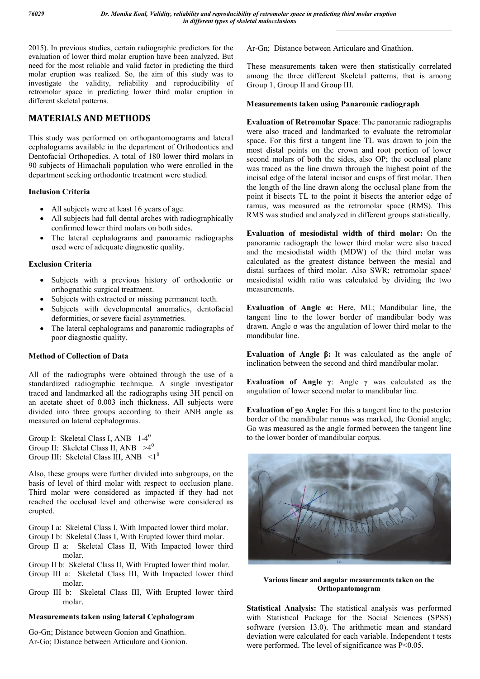2015). In previous studies, certain radiographic predictors for the evaluation of lower third molar eruption have been analyzed. But need for the most reliable and valid factor in predicting the third molar eruption was realized. So, the aim of this study was to investigate the validity, reliability and reproducibility of retromolar space in predicting lower third molar eruption in different skeletal patterns.

## **MATERIALS AND METHODS**

This study was performed on orthopantomograms and lateral cephalograms available in the department of Orthodontics and Dentofacial Orthopedics. A total of 180 lower third molars in 90 subjects of Himachali population who were enrolled in the department seeking orthodontic treatment were studied.

#### **Inclusion Criteria**

- All subjects were at least 16 years of age.
- All subjects had full dental arches with radiographically confirmed lower third molars on both sides.
- The lateral cephalograms and panoramic radiographs used were of adequate diagnostic quality.

#### **Exclusion Criteria**

- Subjects with a previous history of orthodontic or orthognathic surgical treatment.
- Subjects with extracted or missing permanent teeth.
- Subjects with developmental anomalies, dentofacial deformities, or severe facial asymmetries.
- The lateral cephalograms and panaromic radiographs of poor diagnostic quality.

#### **Method of Collection of Data**

All of the radiographs were obtained through the use of a standardized radiographic technique. A single investigator traced and landmarked all the radiographs using 3H pencil on an acetate sheet of 0.003 inch thickness. All subjects were divided into three groups according to their ANB angle as measured on lateral cephalogrmas.

Group I: Skeletal Class I, ANB 1-4<sup>0</sup> Group II: Skeletal Class II, ANB  $>4^0$ Group III: Skeletal Class III, ANB  $\leq 1^0$ 

Also, these groups were further divided into subgroups, on the basis of level of third molar with respect to occlusion plane. Third molar were considered as impacted if they had not reached the occlusal level and otherwise were considered as erupted.

Group I a: Skeletal Class I, With Impacted lower third molar.

- Group I b: Skeletal Class I, With Erupted lower third molar.
- Group II a: Skeletal Class II, With Impacted lower third molar.
- Group II b: Skeletal Class II, With Erupted lower third molar.
- Group III a: Skeletal Class III, With Impacted lower third molar.
- Group III b: Skeletal Class III, With Erupted lower third molar.

#### **Measurements taken using lateral Cephalogram**

Go-Gn; Distance between Gonion and Gnathion. Ar-Go; Distance between Articulare and Gonion. Ar-Gn; Distance between Articulare and Gnathion.

These measurements taken were then statistically correlated among the three different Skeletal patterns, that is among Group 1, Group II and Group III.

#### **Measurements taken using Panaromic radiograph**

**Evaluation of Retromolar Space**: The panoramic radiographs were also traced and landmarked to evaluate the retromolar space. For this first a tangent line TL was drawn to join the most distal points on the crown and root portion of lower second molars of both the sides, also OP; the occlusal plane was traced as the line drawn through the highest point of the incisal edge of the lateral incisor and cusps of first molar. Then the length of the line drawn along the occlusal plane from the point it bisects TL to the point it bisects the anterior edge of ramus, was measured as the retromolar space (RMS). This RMS was studied and analyzed in different groups statistically.

**Evaluation of mesiodistal width of third molar:** On the panoramic radiograph the lower third molar were also traced and the mesiodistal width (MDW) of the third molar was calculated as the greatest distance between the mesial and distal surfaces of third molar. Also SWR; retromolar space/ mesiodistal width ratio was calculated by dividing the two measurements.

**Evaluation of Angle α:** Here, ML; Mandibular line, the tangent line to the lower border of mandibular body was drawn. Angle  $\alpha$  was the angulation of lower third molar to the mandibular line.

**Evaluation of Angle β:** It was calculated as the angle of inclination between the second and third mandibular molar.

**Evaluation of Angle γ**: Angle γ was calculated as the angulation of lower second molar to mandibular line.

**Evaluation of go Angle:** For this a tangent line to the posterior border of the mandibular ramus was marked, the Gonial angle; Go was measured as the angle formed between the tangent line to the lower border of mandibular corpus.



**Various linear and angular measurements taken on the Orthopantomogram**

**Statistical Analysis:** The statistical analysis was performed with Statistical Package for the Social Sciences (SPSS) software (version 13.0). The arithmetic mean and standard deviation were calculated for each variable. Independent t tests were performed. The level of significance was P<0.05.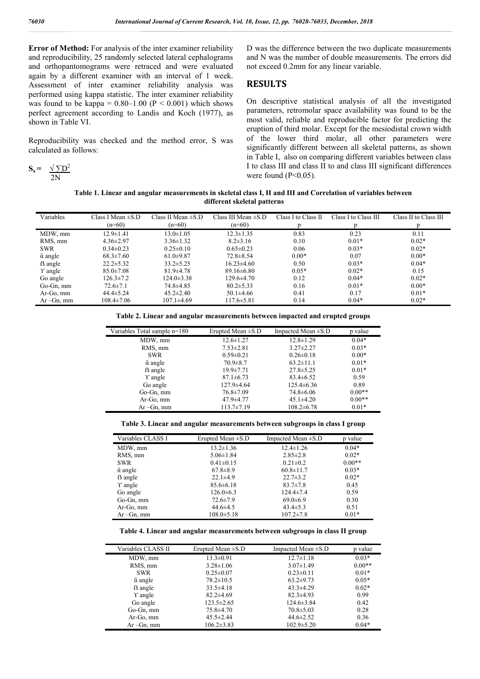**Error of Method:** For analysis of the inter examiner reliability and reproducibility, 25 randomly selected lateral cephalograms and orthopantomograms were retraced and were evaluated again by a different examiner with an interval of 1 week. Assessment of inter examiner reliability analysis was performed using kappa statistic. The inter examiner reliability was found to be kappa =  $0.80-1.00$  (P < 0.001) which shows perfect agreement according to Landis and Koch (1977), as shown in Table VI.

Reproducibility was checked and the method error, S was calculated as follows:

$$
S_x = \frac{\sqrt{DD^2}}{2N}
$$

D was the difference between the two duplicate measurements and N was the number of double measurements. The errors did not exceed 0.2mm for any linear variable.

#### **RESULTS**

On descriptive statistical analysis of all the investigated parameters, retromolar space availability was found to be the most valid, reliable and reproducible factor for predicting the eruption of third molar. Except for the mesiodistal crown width of the lower third molar, all other parameters were significantly different between all skeletal patterns, as shown in Table I, also on comparing different variables between class I to class III and class II to and class III significant differences were found  $(P<0.05)$ .

**Table 1. Linear and angular measurements in skeletal class I, II and III and Correlation of variables between different skeletal patterns**

| Variables            | Class I Mean $\pm$ S.D | Class II Mean $\pm$ S.D | Class III Mean $\pm$ S.D | Class I to Class II | Class I to Class III | Class II to Class III |
|----------------------|------------------------|-------------------------|--------------------------|---------------------|----------------------|-----------------------|
|                      | $(n=60)$               | $(n=60)$                | $(n=60)$                 |                     |                      |                       |
| MDW, mm              | $12.9 \pm 1.41$        | $13.0 \pm 1.05$         | $12.3 \pm 1.35$          | 0.83                | 0.23                 | 0.11                  |
| RMS, mm              | $4.36 \pm 2.97$        | $3.36 \pm 1.32$         | $8.2 \pm 3.16$           | 0.10                | $0.01*$              | $0.02*$               |
| <b>SWR</b>           | $0.34 \pm 0.23$        | $0.25 \pm 0.10$         | $0.65 \pm 0.23$          | 0.06                | $0.03*$              | $0.02*$               |
| $\bar{\alpha}$ angle | $68.3 \pm 7.60$        | $61.0 \pm 9.87$         | $72.8 \pm 8.54$          | $0.00*$             | 0.07                 | $0.00*$               |
| <b>B</b> angle       | $22.2 \pm 5.32$        | $33.2 \pm 5.25$         | $16.23 \pm 4.60$         | 0.50                | $0.03*$              | $0.04*$               |
| Y angle              | $85.0 \pm 7.08$        | $81.9 \pm 4.78$         | $89.16 \pm 6.80$         | $0.05*$             | $0.02*$              | 0.15                  |
| Go angle             | $126.3 \pm 7.2$        | $124.0 \pm 3.38$        | $129.6 \pm 4.70$         | 0.12                | $0.04*$              | $0.02*$               |
| Go-Gn, mm            | $72.6 \pm 7.1$         | 74.8±4.85               | $80.2 \pm 5.33$          | 0.16                | $0.01*$              | $0.00*$               |
| Ar-Go, mm            | $44.4 \pm 5.24$        | $45.2 \pm 2.40$         | $50.1 \pm 4.66$          | 0.41                | 0.17                 | $0.01*$               |
| $Ar-Gn, mm$          | $108.4 \pm 7.06$       | $107.1 \pm 4.69$        | $117.6 \pm 5.81$         | 0.14                | $0.04*$              | $0.02*$               |

|  | Table 2. Linear and angular measurements between impacted and erupted groups |  |  |
|--|------------------------------------------------------------------------------|--|--|
|  |                                                                              |  |  |

| Variables Total sample n=180 | Erupted Mean $\pm$ S.D | Impacted Mean $\pm$ S.D | p value  |
|------------------------------|------------------------|-------------------------|----------|
| MDW, mm                      | $12.6 \pm 1.27$        | $12.8 \pm 1.29$         | $0.04*$  |
| RMS, mm                      | $7.53 \pm 2.81$        | $3.27 \pm 2.27$         | $0.03*$  |
| <b>SWR</b>                   | $0.59 \pm 0.21$        | $0.26 \pm 0.18$         | $0.00*$  |
| $\bar{\alpha}$ angle         | $70.9 \pm 8.7$         | $63.2 \pm 11.1$         | $0.01*$  |
| ß angle                      | $19.9 \pm 7.71$        | $27.8 \pm 5.25$         | $0.01*$  |
| Y angle                      | $87.1 \pm 6.73$        | $83.4 \pm 6.52$         | 0.59     |
| Go angle                     | $127.9 + 4.64$         | $125.4 \pm 6.36$        | 0.89     |
| Go-Gn, mm                    | $76.8 \pm 7.09$        | $74.8 \pm 6.06$         | $0.00**$ |
| Ar-Go, mm                    | $47.9 + 4.77$          | $45.1 \pm 4.20$         | $0.00**$ |
| $Ar-Gn.$ mm                  | $113.7 \pm 7.19$       | $108.2 \pm 6.78$        | $0.01*$  |

#### **Table 3. Linear and angular measurements between subgroups in class I group**

| Variables CLASS I    | Erupted Mean $\pm$ S.D | Impacted Mean $\pm$ S.D | p value  |
|----------------------|------------------------|-------------------------|----------|
| MDW, mm              | $13.2 \pm 1.36$        | $12.4 \pm 1.26$         | $0.04*$  |
| RMS, mm              | $5.06 \pm 1.84$        | $2.85 \pm 2.8$          | $0.02*$  |
| <b>SWR</b>           | $0.41 \pm 0.15$        | $0.21 \pm 0.2$          | $0.00**$ |
| $\bar{\alpha}$ angle | $67.8 \pm 8.9$         | $60.8 \pm 11.7$         | $0.03*$  |
| <b>B</b> angle       | $22.1 \pm 4.9$         | $22.7 \pm 3.2$          | $0.02*$  |
| $\Upsilon$ angle     | $85.6 \pm 6.18$        | $83.7 \pm 7.8$          | 0.45     |
| Go angle             | $126.0 \pm 6.3$        | $124.4 \pm 7.4$         | 0.59     |
| Go-Gn, mm            | $72.6 \pm 7.9$         | $69.0 \pm 6.9$          | 0.30     |
| Ar-Go, mm            | $44.6 \pm 4.5$         | $43.4 \pm 5.3$          | 0.51     |
| $Ar-Gn.$ mm          | $108.0 \pm 5.18$       | $107.2 \pm 7.8$         | $0.01*$  |

#### **Table 4. Linear and angular measurements between subgroups in class II group**

| Variables CLASS II   | Erupted Mean $\pm$ S.D | Impacted Mean $\pm$ S.D | p value  |
|----------------------|------------------------|-------------------------|----------|
| MDW, mm              | $13.3 \pm 0.91$        | $12.7 \pm 1.18$         | $0.03*$  |
| RMS, mm              | $3.28 \pm 1.06$        | $3.07 \pm 1.49$         | $0.00**$ |
| <b>SWR</b>           | $0.25 \pm 0.07$        | $0.23 \pm 0.11$         | $0.01*$  |
| $\bar{\alpha}$ angle | $78.2 \pm 10.5$        | $63.2+9.73$             | $0.05*$  |
| <b>B</b> angle       | $33.5 \pm 4.18$        | $43.3 \pm 4.29$         | $0.02*$  |
| Y angle              | $82.2 \pm 4.69$        | $82.3 \pm 4.93$         | 0.99     |
| Go angle             | $123.5 \pm 2.65$       | $124.6 \pm 3.84$        | 0.42     |
| Go-Gn, mm            | 75.8±4.70              | $70.8 \pm 5.03$         | 0.28     |
| Ar-Go, mm            | $45.5 \pm 2.44$        | $44.6 \pm 2.52$         | 0.36     |
| $Ar-Gn, mm$          | $106.2 \pm 3.83$       | $102.9 \pm 5.20$        | $0.04*$  |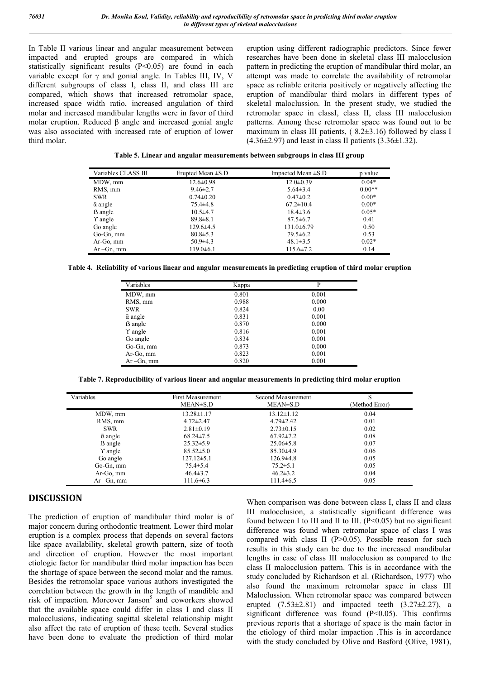In Table II various linear and angular measurement between impacted and erupted groups are compared in which statistically significant results  $(P<0.05)$  are found in each variable except for γ and gonial angle. In Tables III, IV, V different subgroups of class I, class II, and class III are compared, which shows that increased retromolar space, increased space width ratio, increased angulation of third molar and increased mandibular lengths were in favor of third molar eruption. Reduced β angle and increased gonial angle was also associated with increased rate of eruption of lower third molar.

eruption using different radiographic predictors. Since fewer researches have been done in skeletal class III malocclusion pattern in predicting the eruption of mandibular third molar, an attempt was made to correlate the availability of retromolar space as reliable criteria positively or negatively affecting the eruption of mandibular third molars in different types of skeletal maloclussion. In the present study, we studied the retromolar space in classI, class II, class III malocclusion patterns. Among these retromolar space was found out to be maximum in class III patients, ( 8.2±3.16) followed by class I  $(4.36\pm2.97)$  and least in class II patients  $(3.36\pm1.32)$ .

| Table 5. Linear and angular measurements between subgroups in class III group |  |
|-------------------------------------------------------------------------------|--|
|-------------------------------------------------------------------------------|--|

| Variables CLASS III  | Erupted Mean $\pm$ S.D | Impacted Mean $\pm$ S.D | p value  |
|----------------------|------------------------|-------------------------|----------|
| MDW, mm              | $12.6 \pm 0.98$        | $12.0 \pm 0.39$         | $0.04*$  |
| RMS, mm              | $9.46 \pm 2.7$         | $5.64 \pm 3.4$          | $0.00**$ |
| <b>SWR</b>           | $0.74 \pm 0.20$        | $0.47 \pm 0.2$          | $0.00*$  |
| $\bar{\alpha}$ angle | $75.4 \pm 4.8$         | $67.2 \pm 10.4$         | $0.00*$  |
| <b>B</b> angle       | $10.5 \pm 4.7$         | $18.4 \pm 3.6$          | $0.05*$  |
| Y angle              | $89.8 \pm 8.1$         | $87.5 \pm 6.7$          | 0.41     |
| Go angle             | $129.6 \pm 4.5$        | $131.0 \pm 6.79$        | 0.50     |
| Go-Gn, mm            | $80.8 \pm 5.3$         | $79.5 \pm 6.2$          | 0.53     |
| Ar-Go, mm            | $50.9 \pm 4.3$         | $48.1 \pm 3.5$          | $0.02*$  |
| $Ar-Gn, mm$          | $119.0 \pm 6.1$        | $115.6 \pm 7.2$         | 0.14     |

**Table 4. Reliability of various linear and angular measurements in predicting eruption of third molar eruption**

| Variables            | Kappa | P     |
|----------------------|-------|-------|
| MDW, mm              | 0.801 | 0.001 |
| RMS, mm              | 0.988 | 0.000 |
| <b>SWR</b>           | 0.824 | 0.00  |
| $\bar{\alpha}$ angle | 0.831 | 0.001 |
| ß angle              | 0.870 | 0.000 |
| Y angle              | 0.816 | 0.001 |
| Go angle             | 0.834 | 0.001 |
| Go-Gn, mm            | 0.873 | 0.000 |
| Ar-Go, mm            | 0.823 | 0.001 |
| $Ar-Gn, mm$          | 0.820 | 0.001 |

**Table 7. Reproducibility of various linear and angular measurements in predicting third molar eruption**

| Variables            | <b>First Measurement</b><br>MEAN±S.D | Second Measurement<br>MEAN±S.D | S<br>(Method Error) |
|----------------------|--------------------------------------|--------------------------------|---------------------|
| MDW, mm              | $13.28 \pm 1.17$                     | $13.12 \pm 1.12$               | 0.04                |
| RMS, mm              | $4.72 \pm 2.47$                      | $4.79 \pm 2.42$                | 0.01                |
| <b>SWR</b>           | $2.81 \pm 0.19$                      | $2.73 \pm 0.15$                | 0.02                |
| $\bar{\alpha}$ angle | $68.24 \pm 7.5$                      | $67.92 \pm 7.2$                | 0.08                |
| <b>B</b> angle       | $25.32 \pm 5.9$                      | $25.06 \pm 5.8$                | 0.07                |
| Y angle              | $85.52 \pm 5.0$                      | $85.30\pm4.9$                  | 0.06                |
| Go angle             | $127.12 \pm 5.1$                     | $126.9\pm4.8$                  | 0.05                |
| Go-Gn, mm            | $75.4 \pm 5.4$                       | $75.2 \pm 5.1$                 | 0.05                |
| Ar-Go, mm            | $46.4 \pm 3.7$                       | $46.2 \pm 3.2$                 | 0.04                |
| $Ar-Gn, mm$          | $111.6 \pm 6.3$                      | $111.4\pm 6.5$                 | 0.05                |

#### **DISCUSSION**

The prediction of eruption of mandibular third molar is of major concern during orthodontic treatment. Lower third molar eruption is a complex process that depends on several factors like space availability, skeletal growth pattern, size of tooth and direction of eruption. However the most important etiologic factor for mandibular third molar impaction has been the shortage of space between the second molar and the ramus. Besides the retromolar space various authors investigated the correlation between the growth in the length of mandible and risk of impaction. Moreover Janson<sup>5</sup> and coworkers showed that the available space could differ in class I and class II malocclusions, indicating sagittal skeletal relationship might also affect the rate of eruption of these teeth. Several studies have been done to evaluate the prediction of third molar

When comparison was done between class I, class II and class III malocclusion, a statistically significant difference was found between I to III and II to III.  $(P<0.05)$  but no significant difference was found when retromolar space of class I was compared with class II (P>0.05). Possible reason for such results in this study can be due to the increased mandibular lengths in case of class III malocclusion as compared to the class II malocclusion pattern. This is in accordance with the study concluded by Richardson et al. (Richardson, 1977) who also found the maximum retromolar space in class III Maloclussion. When retromolar space was compared between erupted  $(7.53\pm2.81)$  and impacted teeth  $(3.27\pm2.27)$ , a significant difference was found  $(P<0.05)$ . This confirms previous reports that a shortage of space is the main factor in the etiology of third molar impaction .This is in accordance with the study concluded by Olive and Basford (Olive, 1981),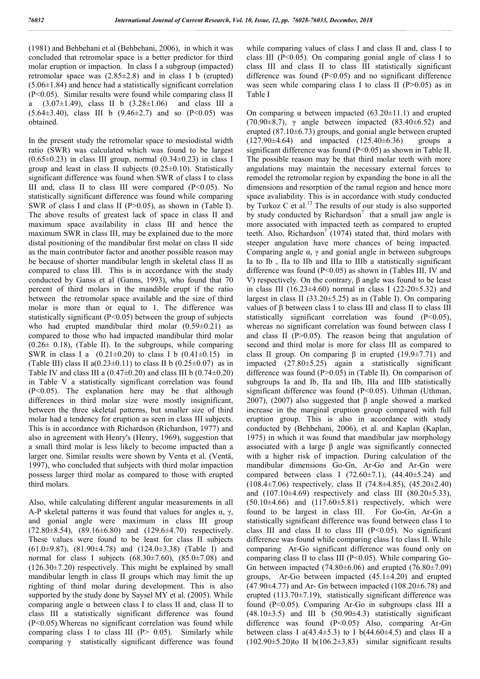(1981) and Behbehani et al (Behbehani, 2006), in which it was concluded that retromolar space is a better predictor for third molar eruption or impaction. In class I a subgroup (impacted) retromolar space was  $(2.85\pm2.8)$  and in class I b (erupted)  $(5.06\pm1.84)$  and hence had a statistically significant correlation (P<0.05). Similar results were found while comparing class II a  $(3.07\pm1.49)$ , class II b  $(3.28\pm1.06)$  and class III a  $(5.64\pm3.40)$ , class III b  $(9.46\pm2.7)$  and so  $(P<0.05)$  was obtained.

In the present study the retromolar space to mesiodistal width ratio (SWR) was calculated which was found to be largest  $(0.65\pm0.23)$  in class III group, normal  $(0.34\pm0.23)$  in class I group and least in class II subjects (0.25±0.10). Statistically significant difference was found when SWR of class I to class III and, class II to class III were compared  $(P<0.05)$ . No statistically significant difference was found while comparing SWR of class I and class II (P>0.05), as shown in (Table I). The above results of greatest lack of space in class II and maximum space availability in class III and hence the maximum SWR in class III, may be explained due to the more distal positioning of the mandibular first molar on class II side as the main contributor factor and another possible reason may be because of shorter mandibular length in skeletal class II as compared to class III. This is in accordance with the study conducted by Ganss et al (Ganns, 1993), who found that 70 percent of third molars in the mandible erupt if the ratio between the retromolar space available and the size of third molar is more than or equal to 1. The difference was statistically significant  $(P<0.05)$  between the group of subjects who had erupted mandibular third molar  $(0.59 \pm 0.21)$  as compared to those who had impacted mandibular third molar  $(0.26 \pm 0.18)$ , (Table II). In the subgroups, while comparing SWR in class I a  $(0.21 \pm 0.20)$  to class I b  $(0.41 \pm 0.15)$  in (Table III) class II a( $0.23\pm0.11$ ) to class II b ( $0.25\pm0.07$ ) as in Table IV and class III a  $(0.47\pm0.20)$  and class III b  $(0.74\pm0.20)$ in Table V a statistically significant correlation was found (P<0.05). The explanation here may be that although differences in third molar size were mostly insignificant, between the three skeletal patterns, but smaller size of third molar had a tendency for eruption as seen in class III subjects. This is in accordance with Richardson (Richardson, 1977) and also in agreement with Henry's (Henry, 1969), suggestion that a small third molar is less likely to become impacted than a larger one. Similar results were shown by Venta et al. (Ventä, 1997), who concluded that subjects with third molar impaction possess larger third molar as compared to those with erupted third molars.

Also, while calculating different angular measurements in all A-P skeletal patterns it was found that values for angles  $\alpha$ ,  $\gamma$ , and gonial angle were maximum in class III group (72.80±8.54), (89.16±6.80) and (129.6±4.70) respectively. These values were found to be least for class II subjects (61.0±9.87), (81.90±4.78) and (124.0±3.38) (Table I) and normal for class I subjects  $(68.30\pm7.60)$ ,  $(85.0\pm7.08)$  and  $(126.30\pm7.20)$  respectively. This might be explained by small mandibular length in class II groups which may limit the up righting of third molar during development. This is also supported by the study done by Saysel MY et al. (2005). While comparing angle α between class I to class II and, class II to class III a statistically significant difference was found (P<0.05).Whereas no significant correlation was found while comparing class I to class III ( $P$  > 0.05). Similarly while comparing γ statistically significant difference was found

while comparing values of class I and class II and, class I to class III ( $P<0.05$ ). On comparing gonial angle of class I to class III and class II to class III statistically significant difference was found  $(P<0.05)$  and no significant difference was seen while comparing class I to class II  $(P>0.05)$  as in Table I

On comparing  $\alpha$  between impacted (63.20 $\pm$ 11.1) and erupted (70.90 $\pm$ 8.7),  $\gamma$  angle between impacted (83.40 $\pm$ 6.52) and erupted (87.10 $\pm$ 6.73) groups, and gonial angle between erupted (127.90 $\pm$ 4.64) and impacted (125.40 $\pm$ 6.36) groups a  $(127.90\pm4.64)$  and impacted  $(125.40\pm6.36)$ significant difference was found (P<0.05) as shown in Table II. The possible reason may be that third molar teeth with more angulations may maintain the necessary external forces to remodel the retromolar region by expanding the bone in all the dimensions and resorption of the ramal region and hence more space avaliability. This is in accordance with study conducted by Turkoz C et al.<sup>13</sup> The results of our study is also supported by study conducted by Richardson<sup>7</sup> that a small jaw angle is more associated with impacted teeth as compared to erupted teeth. Also, Richardson<sup>7</sup> (1974) stated that, third molars with steeper angulation have more chances of being impacted. Comparing angle  $\alpha$ ,  $\gamma$  and gonial angle in between subgroups Ia to Ib , IIa to IIb and IIIa to IIIb a statistically significant difference was found (P<0.05) as shown in (Tables III, IV and V) respectively. On the contrary, β angle was found to be least in class III (16.23 $\pm$ 4.60) normal in class I (22-20 $\pm$ 5.32) and largest in class II  $(33.20 \pm 5.25)$  as in (Table I). On comparing values of β between class I to class III and class II to class III statistically significant correlation was found (P<0.05), whereas no significant correlation was found between class I and class II (P>0.05). The reason being that angulation of second and third molar is more for class III as compared to class II group. On comparing  $β$  in erupted (19.9±7.71) and impacted (27.80±5.25) again a statistically significant difference was found (P>0.05) in (Table II). On comparison of subgroups Ia and Ib, IIa and IIb, IIIa and IIIb statistically significant difference was found (P<0.05). Uthman (Uthman, 2007), (2007) also suggested that β angle showed a marked increase in the marginal eruption group compared with full eruption group. This is also in accordance with study conducted by (Behbehani, 2006), et al. and Kaplan (Kaplan, 1975) in which it was found that mandibular jaw morphology associated with a large β angle was significantly connected with a higher risk of impaction. During calculation of the mandibular dimensions Go-Gn, Ar-Go and Ar-Gn were compared between class I  $(72.60\pm7.1)$ ,  $(44.40\pm5.24)$  and (108.4±7.06) respectively, class II (74.8±4.85), (45.20±2.40) and  $(107.10\pm4.69)$  respectively and class III  $(80.20\pm5.33)$ ,  $(50.10\pm4.66)$  and  $(117.60\pm5.81)$  respectively, which were found to be largest in class III. For Go-Gn, Ar-Gn a statistically significant difference was found between class I to class III and class II to class III ( $P<0.05$ ). No significant difference was found while comparing class I to class II. While comparing Ar-Go significant difference was found only on comparing class II to class III ( $P<0.05$ ). While comparing Go-Gn between impacted  $(74.80\pm6.06)$  and erupted  $(76.80\pm7.09)$ groups, Ar-Go between impacted (45.1±4.20) and erupted  $(47.90\pm4.77)$  and Ar- Gn between impacted  $(108.20\pm6.78)$  and erupted (113.70±7.19), statistically significant difference was found (P<0.05). Comparing Ar-Go in subgroups class III a  $(48.10\pm3.5)$  and III b  $(50.90\pm4.3)$  statistically significant difference was found (P<0.05) Also, comparing Ar-Gn between class I a(43.4 $\pm$ 5.3) to I b(44.60 $\pm$ 4.5) and class II a  $(102.90\pm5.20)$ to II b $(106.2\pm3.83)$  similar significant results